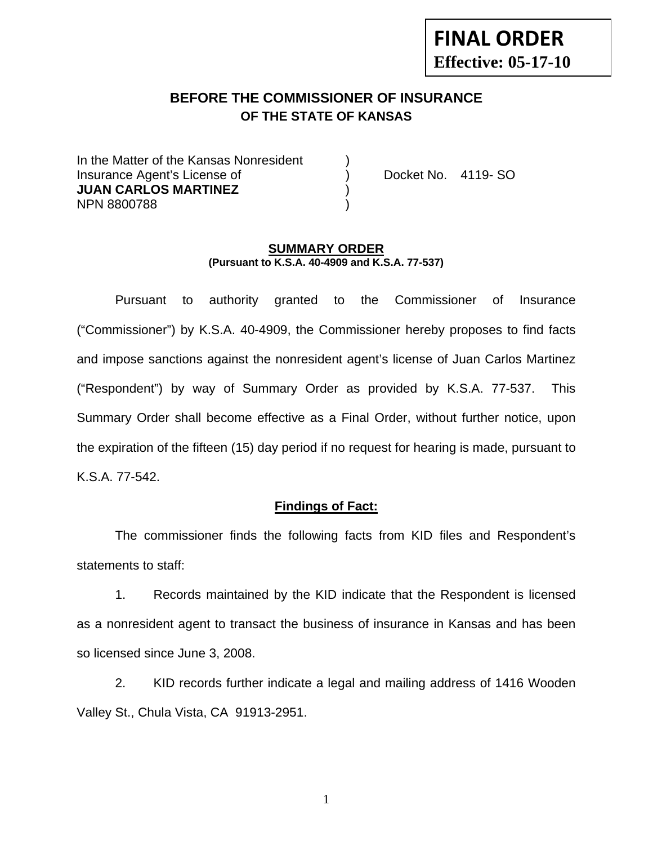# **FINAL ORDER Effective: 05-17-10**

# **BEFORE THE COMMISSIONER OF INSURANCE OF THE STATE OF KANSAS**

In the Matter of the Kansas Nonresident Insurance Agent's License of ) Docket No. 4119- SO **JUAN CARLOS MARTINEZ** ) NPN 8800788 )

#### **SUMMARY ORDER (Pursuant to K.S.A. 40-4909 and K.S.A. 77-537)**

 Pursuant to authority granted to the Commissioner of Insurance ("Commissioner") by K.S.A. 40-4909, the Commissioner hereby proposes to find facts and impose sanctions against the nonresident agent's license of Juan Carlos Martinez ("Respondent") by way of Summary Order as provided by K.S.A. 77-537. This Summary Order shall become effective as a Final Order, without further notice, upon the expiration of the fifteen (15) day period if no request for hearing is made, pursuant to K.S.A. 77-542.

### **Findings of Fact:**

 The commissioner finds the following facts from KID files and Respondent's statements to staff:

 1. Records maintained by the KID indicate that the Respondent is licensed as a nonresident agent to transact the business of insurance in Kansas and has been so licensed since June 3, 2008.

 2. KID records further indicate a legal and mailing address of 1416 Wooden Valley St., Chula Vista, CA 91913-2951.

1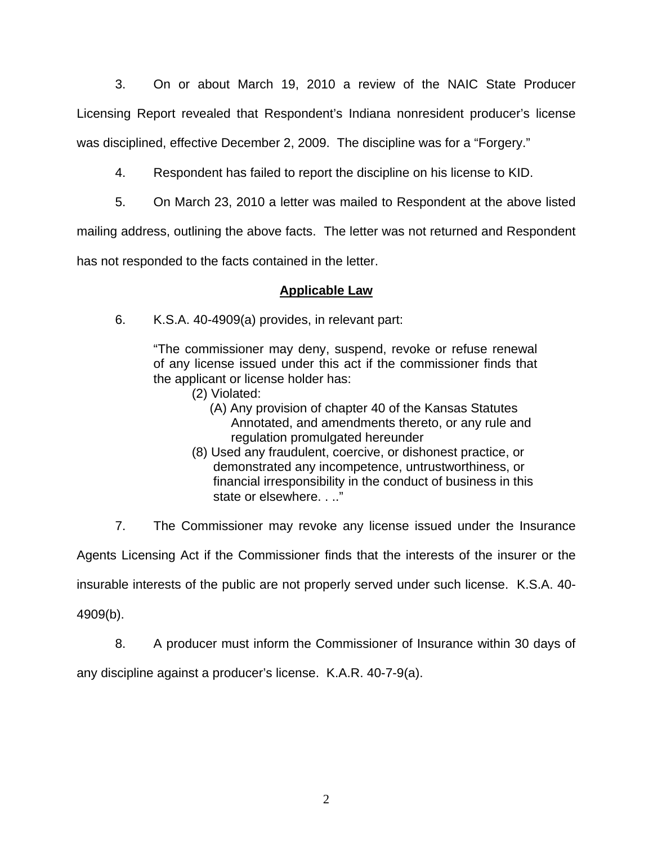3. On or about March 19, 2010 a review of the NAIC State Producer Licensing Report revealed that Respondent's Indiana nonresident producer's license was disciplined, effective December 2, 2009. The discipline was for a "Forgery."

- 4. Respondent has failed to report the discipline on his license to KID.
- 5. On March 23, 2010 a letter was mailed to Respondent at the above listed

mailing address, outlining the above facts. The letter was not returned and Respondent

has not responded to the facts contained in the letter.

## **Applicable Law**

6. K.S.A. 40-4909(a) provides, in relevant part:

"The commissioner may deny, suspend, revoke or refuse renewal of any license issued under this act if the commissioner finds that the applicant or license holder has:

- (2) Violated:
	- (A) Any provision of chapter 40 of the Kansas Statutes Annotated, and amendments thereto, or any rule and regulation promulgated hereunder
- (8) Used any fraudulent, coercive, or dishonest practice, or demonstrated any incompetence, untrustworthiness, or financial irresponsibility in the conduct of business in this state or elsewhere. . .."

7. The Commissioner may revoke any license issued under the Insurance

Agents Licensing Act if the Commissioner finds that the interests of the insurer or the

insurable interests of the public are not properly served under such license. K.S.A. 40-

4909(b).

8. A producer must inform the Commissioner of Insurance within 30 days of

any discipline against a producer's license. K.A.R. 40-7-9(a).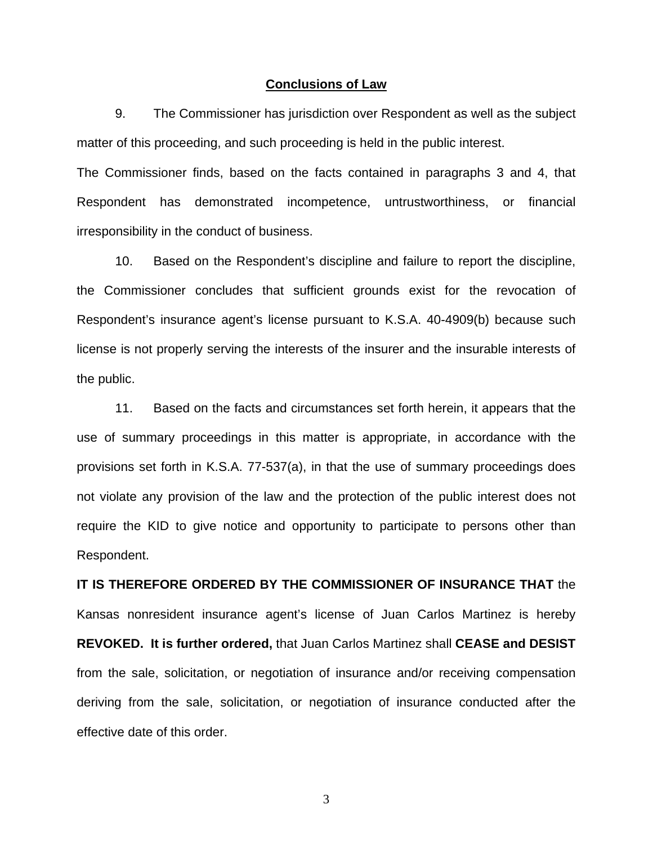#### **Conclusions of Law**

 9. The Commissioner has jurisdiction over Respondent as well as the subject matter of this proceeding, and such proceeding is held in the public interest.

The Commissioner finds, based on the facts contained in paragraphs 3 and 4, that Respondent has demonstrated incompetence, untrustworthiness, or financial irresponsibility in the conduct of business.

 10. Based on the Respondent's discipline and failure to report the discipline, the Commissioner concludes that sufficient grounds exist for the revocation of Respondent's insurance agent's license pursuant to K.S.A. 40-4909(b) because such license is not properly serving the interests of the insurer and the insurable interests of the public.

 11. Based on the facts and circumstances set forth herein, it appears that the use of summary proceedings in this matter is appropriate, in accordance with the provisions set forth in K.S.A. 77-537(a), in that the use of summary proceedings does not violate any provision of the law and the protection of the public interest does not require the KID to give notice and opportunity to participate to persons other than Respondent.

**IT IS THEREFORE ORDERED BY THE COMMISSIONER OF INSURANCE THAT** the Kansas nonresident insurance agent's license of Juan Carlos Martinez is hereby **REVOKED. It is further ordered,** that Juan Carlos Martinez shall **CEASE and DESIST** from the sale, solicitation, or negotiation of insurance and/or receiving compensation deriving from the sale, solicitation, or negotiation of insurance conducted after the effective date of this order.

3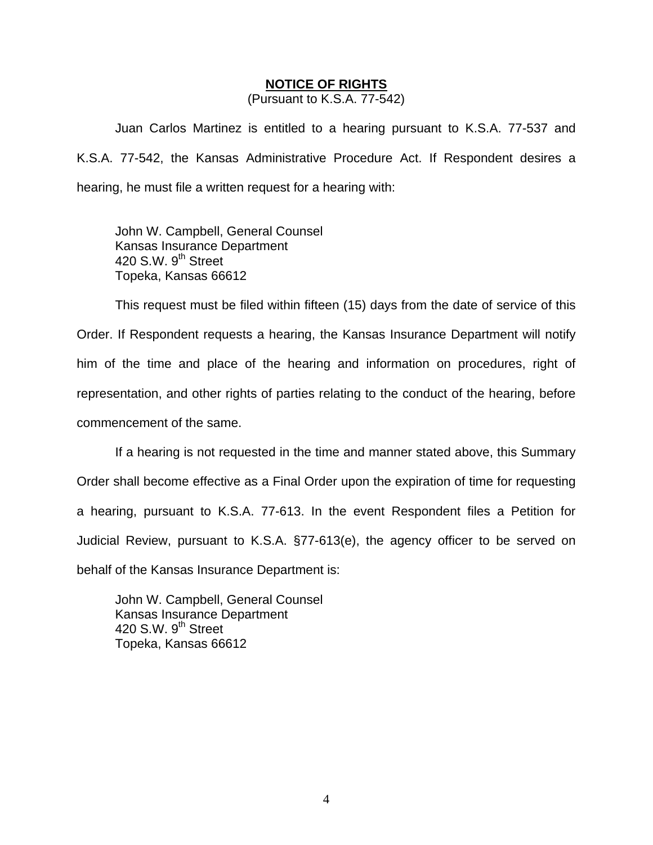#### **NOTICE OF RIGHTS**

(Pursuant to K.S.A. 77-542)

Juan Carlos Martinez is entitled to a hearing pursuant to K.S.A. 77-537 and K.S.A. 77-542, the Kansas Administrative Procedure Act. If Respondent desires a hearing, he must file a written request for a hearing with:

 John W. Campbell, General Counsel Kansas Insurance Department 420 S.W. 9<sup>th</sup> Street Topeka, Kansas 66612

This request must be filed within fifteen (15) days from the date of service of this Order. If Respondent requests a hearing, the Kansas Insurance Department will notify him of the time and place of the hearing and information on procedures, right of representation, and other rights of parties relating to the conduct of the hearing, before commencement of the same.

If a hearing is not requested in the time and manner stated above, this Summary Order shall become effective as a Final Order upon the expiration of time for requesting a hearing, pursuant to K.S.A. 77-613. In the event Respondent files a Petition for Judicial Review, pursuant to K.S.A. §77-613(e), the agency officer to be served on behalf of the Kansas Insurance Department is:

 John W. Campbell, General Counsel Kansas Insurance Department 420 S.W.  $9<sup>th</sup>$  Street Topeka, Kansas 66612